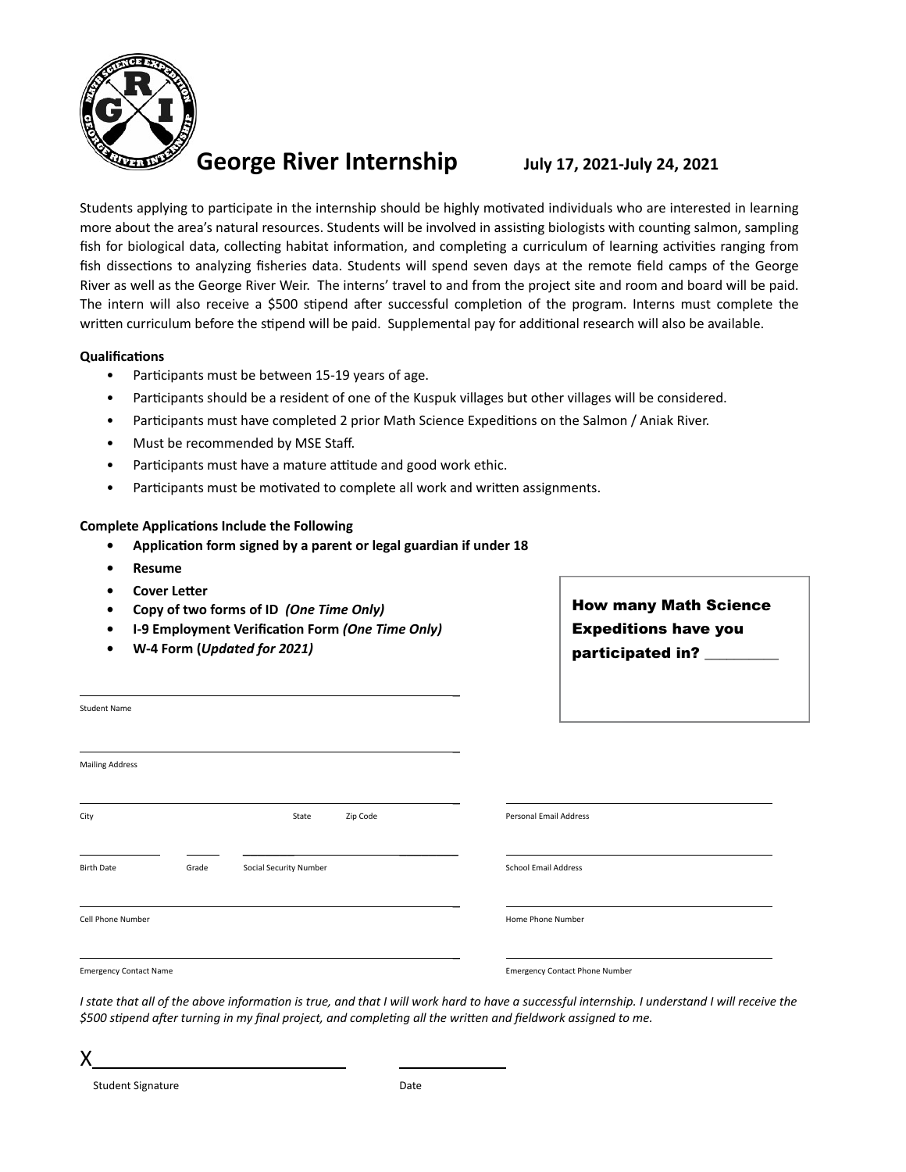

Students applying to participate in the internship should be highly motivated individuals who are interested in learning more about the area's natural resources. Students will be involved in assisting biologists with counting salmon, sampling fish for biological data, collecting habitat information, and completing a curriculum of learning activities ranging from fish dissections to analyzing fisheries data. Students will spend seven days at the remote field camps of the George River as well as the George River Weir. The interns' travel to and from the project site and room and board will be paid. The intern will also receive a \$500 stipend after successful completion of the program. Interns must complete the written curriculum before the stipend will be paid. Supplemental pay for additional research will also be available.

#### **Qualifications**

- Participants must be between 15-19 years of age.
- Participants should be a resident of one of the Kuspuk villages but other villages will be considered.
- Participants must have completed 2 prior Math Science Expeditions on the Salmon / Aniak River.
- Must be recommended by MSE Staff.
- Participants must have a mature attitude and good work ethic.
- Participants must be motivated to complete all work and written assignments.

#### **Complete Applications Include the Following**

- **• Application form signed by a parent or legal guardian if under 18**
- **• Resume**
- **• Cover Letter**
- **• Copy of two forms of ID** *(One Time Only)*
- **• I-9 Employment Verification Form** *(One Time Only)*
- **• W-4 Form (***Updated for 2021)*

How many Math Science Expeditions have you participated in? \_\_\_\_\_\_\_\_\_\_

| <b>Student Name</b>           |       |                        |          |                                       |  |
|-------------------------------|-------|------------------------|----------|---------------------------------------|--|
|                               |       |                        |          |                                       |  |
| <b>Mailing Address</b>        |       |                        |          |                                       |  |
|                               |       |                        |          |                                       |  |
| City                          |       | State                  | Zip Code | Personal Email Address                |  |
|                               |       |                        |          |                                       |  |
| <b>Birth Date</b>             | Grade | Social Security Number |          | <b>School Email Address</b>           |  |
|                               |       |                        |          |                                       |  |
| Cell Phone Number             |       |                        |          | Home Phone Number                     |  |
|                               |       |                        |          |                                       |  |
| <b>Emergency Contact Name</b> |       |                        |          | <b>Emergency Contact Phone Number</b> |  |
|                               |       |                        |          |                                       |  |

*I state that all of the above information is true, and that I will work hard to have a successful internship. I understand I will receive the \$500 stipend after turning in my final project, and completing all the written and fieldwork assigned to me.* 

X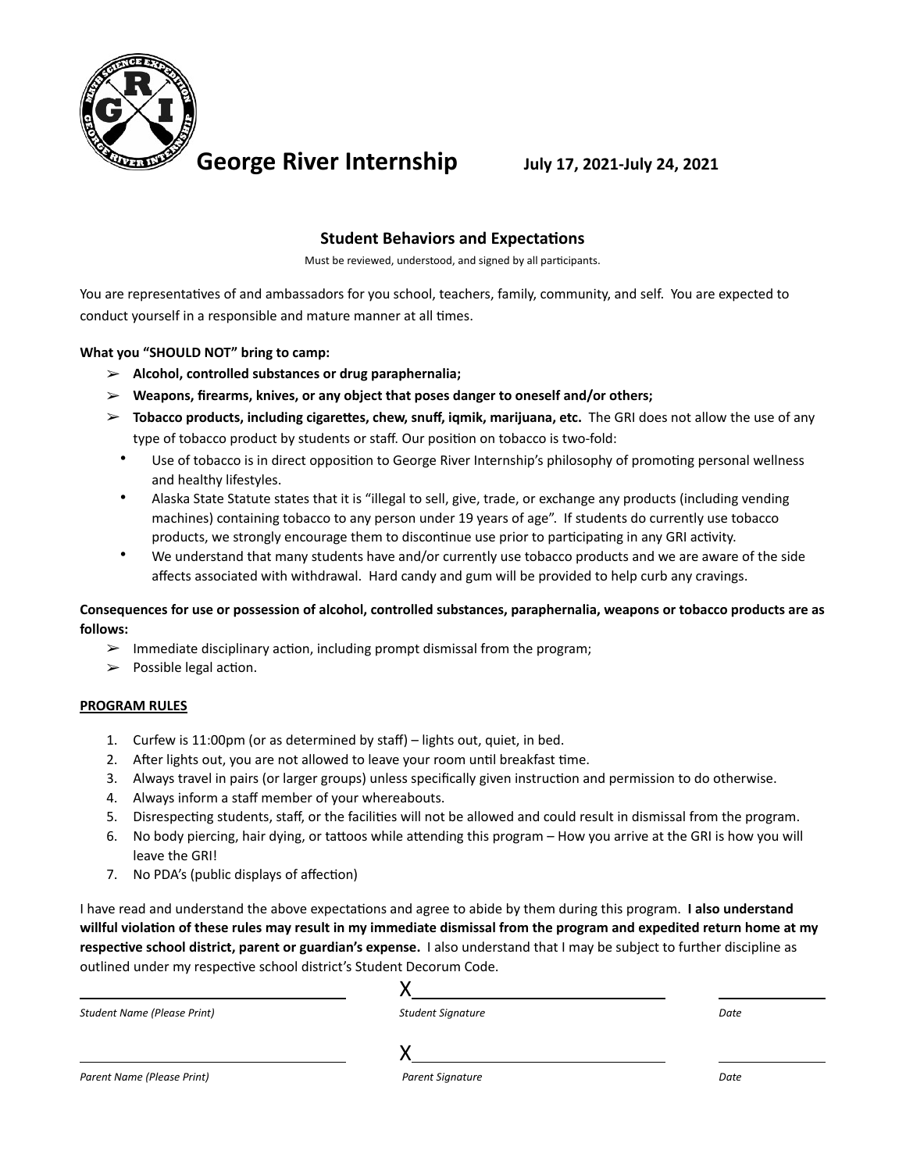

## **Student Behaviors and Expectations**

Must be reviewed, understood, and signed by all participants.

You are representatives of and ambassadors for you school, teachers, family, community, and self. You are expected to conduct yourself in a responsible and mature manner at all times.

### **What you "SHOULD NOT" bring to camp:**

- ➢ **Alcohol, controlled substances or drug paraphernalia;**
- ➢ **Weapons, firearms, knives, or any object that poses danger to oneself and/or others;**
- ➢ **Tobacco products, including cigarettes, chew, snuff, iqmik, marijuana, etc.** The GRI does not allow the use of any type of tobacco product by students or staff. Our position on tobacco is two-fold:
	- Use of tobacco is in direct opposition to George River Internship's philosophy of promoting personal wellness and healthy lifestyles.
	- Alaska State Statute states that it is "illegal to sell, give, trade, or exchange any products (including vending machines) containing tobacco to any person under 19 years of age". If students do currently use tobacco products, we strongly encourage them to discontinue use prior to participating in any GRI activity.
	- We understand that many students have and/or currently use tobacco products and we are aware of the side affects associated with withdrawal. Hard candy and gum will be provided to help curb any cravings.

### **Consequences for use or possession of alcohol, controlled substances, paraphernalia, weapons or tobacco products are as follows:**

- $\triangleright$  Immediate disciplinary action, including prompt dismissal from the program;
- $\triangleright$  Possible legal action.

### **PROGRAM RULES**

- 1. Curfew is 11:00pm (or as determined by staff) lights out, quiet, in bed.
- 2. After lights out, you are not allowed to leave your room until breakfast time.
- 3. Always travel in pairs (or larger groups) unless specifically given instruction and permission to do otherwise.
- 4. Always inform a staff member of your whereabouts.
- 5. Disrespecting students, staff, or the facilities will not be allowed and could result in dismissal from the program.
- 6. No body piercing, hair dying, or tattoos while attending this program How you arrive at the GRI is how you will leave the GRI!
- 7. No PDA's (public displays of affection)

I have read and understand the above expectations and agree to abide by them during this program. **I also understand willful violation of these rules may result in my immediate dismissal from the program and expedited return home at my respective school district, parent or guardian's expense.** I also understand that I may be subject to further discipline as outlined under my respective school district's Student Decorum Code.

| <b>Student Name (Please Print)</b> | <b>Student Signature</b> | Date |
|------------------------------------|--------------------------|------|
|                                    |                          |      |
| Parent Name (Please Print)         | <b>Parent Signature</b>  | Date |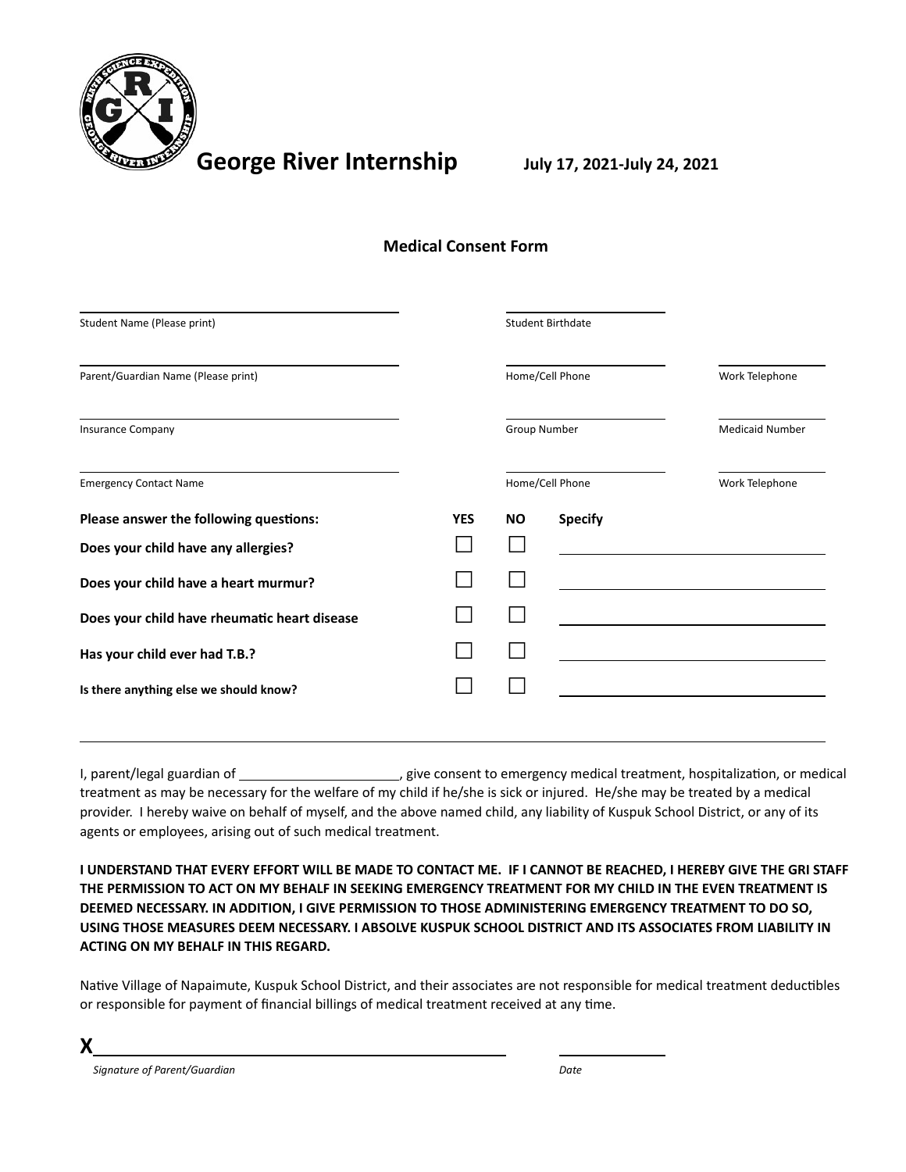

| Student Name (Please print)                  |            |           | <b>Student Birthdate</b> |                        |
|----------------------------------------------|------------|-----------|--------------------------|------------------------|
| Parent/Guardian Name (Please print)          |            |           | Home/Cell Phone          | Work Telephone         |
| <b>Insurance Company</b>                     |            |           | Group Number             | <b>Medicaid Number</b> |
| <b>Emergency Contact Name</b>                |            |           | Home/Cell Phone          | Work Telephone         |
| Please answer the following questions:       | <b>YES</b> | <b>NO</b> | <b>Specify</b>           |                        |
| Does your child have any allergies?          |            |           |                          |                        |
| Does your child have a heart murmur?         |            |           |                          |                        |
| Does your child have rheumatic heart disease |            |           |                          |                        |
| Has your child ever had T.B.?                |            |           |                          |                        |
| Is there anything else we should know?       |            |           |                          |                        |
|                                              |            |           |                          |                        |

**Medical Consent Form**

I, parent/legal guardian of \_\_\_\_\_\_\_\_\_\_\_\_\_\_\_\_\_\_\_\_\_\_\_\_, give consent to emergency medical treatment, hospitalization, or medical treatment as may be necessary for the welfare of my child if he/she is sick or injured. He/she may be treated by a medical provider. I hereby waive on behalf of myself, and the above named child, any liability of Kuspuk School District, or any of its agents or employees, arising out of such medical treatment.

**I UNDERSTAND THAT EVERY EFFORT WILL BE MADE TO CONTACT ME. IF I CANNOT BE REACHED, I HEREBY GIVE THE GRI STAFF THE PERMISSION TO ACT ON MY BEHALF IN SEEKING EMERGENCY TREATMENT FOR MY CHILD IN THE EVEN TREATMENT IS DEEMED NECESSARY. IN ADDITION, I GIVE PERMISSION TO THOSE ADMINISTERING EMERGENCY TREATMENT TO DO SO, USING THOSE MEASURES DEEM NECESSARY. I ABSOLVE KUSPUK SCHOOL DISTRICT AND ITS ASSOCIATES FROM LIABILITY IN ACTING ON MY BEHALF IN THIS REGARD.**

Native Village of Napaimute, Kuspuk School District, and their associates are not responsible for medical treatment deductibles or responsible for payment of financial billings of medical treatment received at any time.

**X**

 *Signature of Parent/Guardian Date*